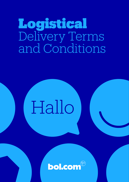# Logistical Delivery Terms and Conditions

# Hallo

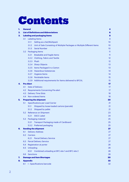# Contents

| 1. |                                              | <b>General</b><br>4                                                               |                 |  |  |  |  |
|----|----------------------------------------------|-----------------------------------------------------------------------------------|-----------------|--|--|--|--|
| 2. | <b>List of Definitions and Abbreviations</b> |                                                                                   |                 |  |  |  |  |
| З. | <b>Labeling and packaging Items</b>          |                                                                                   |                 |  |  |  |  |
|    | 3.1                                          | <b>Labeling Items</b>                                                             |                 |  |  |  |  |
|    |                                              | Selling as a Set/Multipack<br>3.1.1                                               | 10              |  |  |  |  |
|    |                                              | 3.1.2<br>Unit of Sale Consisting of Multiple Packages or Multiple Different Items | 10              |  |  |  |  |
|    |                                              | <b>Serial Number</b><br>3.1.3                                                     | 10 <sup>°</sup> |  |  |  |  |
|    | 3.2                                          | <b>Packaging Items</b>                                                            |                 |  |  |  |  |
|    |                                              | Breakable and fragile Items<br>3.2.1                                              | 11              |  |  |  |  |
|    |                                              | 3.2.2 Clothing, Fabric and Textile                                                | 12              |  |  |  |  |
|    |                                              | 3.2.3 Plush                                                                       | 12              |  |  |  |  |
|    |                                              | 3.2.4 Sharp Objects                                                               | 13              |  |  |  |  |
|    |                                              | 3.2.5 Items Packaged in a Carton                                                  | 13              |  |  |  |  |
|    |                                              | 3.2.6 Hazardous Substances                                                        | 14              |  |  |  |  |
|    |                                              | 3.2.7 Hygiene Items                                                               | 14              |  |  |  |  |
|    |                                              | 3.2.8 Perishable Items                                                            | 15              |  |  |  |  |
|    |                                              | 3.2.9 Additional requirements for Items delivered to BFCXL                        | 15              |  |  |  |  |
| 4. |                                              | <b>Pre-Alert</b>                                                                  |                 |  |  |  |  |
|    | 4.1                                          | Date of Delivery                                                                  | 17              |  |  |  |  |
|    | 4.2                                          | <b>Requirements Concerning Pre-alert</b>                                          | 17              |  |  |  |  |
|    | 4.3                                          | <b>Delivery Time Slots</b>                                                        | 18              |  |  |  |  |
|    | 4.4                                          | Non-ordered Items                                                                 | 18<br>20        |  |  |  |  |
| 5. |                                              | <b>Preparing the shipment</b>                                                     |                 |  |  |  |  |
|    | 5.1                                          | <b>Specifications per Load Carrier</b>                                            | 21              |  |  |  |  |
|    |                                              | 5.1.1<br>Shipped by loose-loaded cartons (parcels)                                | 21              |  |  |  |  |
|    |                                              | Shipped by pallet<br>5.1.2                                                        | 21              |  |  |  |  |
|    | 5.2                                          | Reference on Shipment                                                             | 23              |  |  |  |  |
|    |                                              | <b>SSCC Label</b><br>5.2.1                                                        | 24              |  |  |  |  |
|    | 5.3                                          | Packaging material                                                                | 25              |  |  |  |  |
|    |                                              | <b>Transport Packaging made of Cardboard</b><br>5.3.1                             | 25              |  |  |  |  |
|    |                                              | 5.3.2 Preferred packaging                                                         | 25<br>27        |  |  |  |  |
| 6. |                                              | <b>Sending the shipment</b>                                                       |                 |  |  |  |  |
|    | 6.1                                          | <b>Delivery Address</b>                                                           |                 |  |  |  |  |
|    | 6.2                                          | <b>Carriers</b>                                                                   | 27              |  |  |  |  |
|    |                                              | 6.2.1<br><b>Parcel Delivery Service</b>                                           | 27              |  |  |  |  |
|    | 6.3                                          | <b>Parcel Delivery Service</b>                                                    | 27<br>28        |  |  |  |  |
|    | 6.4                                          | <b>Registration at porter</b>                                                     |                 |  |  |  |  |
|    | 6.5                                          | Unloading                                                                         | 28              |  |  |  |  |
|    |                                              | 6.5.1<br>Combined unloading at BFC site 1 and BFC site 2                          | 28              |  |  |  |  |
|    | 6.6                                          | Sanctions                                                                         | 28<br>30        |  |  |  |  |
| 7. |                                              | <b>Damage and Item Shortages</b>                                                  |                 |  |  |  |  |
| 8. |                                              | <b>Appendix</b>                                                                   | 32              |  |  |  |  |
|    | 8.1                                          | I - Specifications barcode                                                        | 32              |  |  |  |  |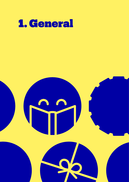

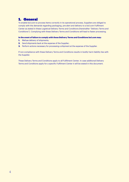# 1. General

To enable bol.com to process Items correctly in its operational process, Suppliers are obliged to comply with the demands regarding packaging, pre-alert and delivery to a bol.com Fulfilment Center as stated in these Logistical Delivery Terms and Conditions (hereinafter "Delivery Terms and Conditions"). Complying with these Delivery Terms and Conditions will lead to faster processing.

#### **In the event of failure to comply with these Delivery Terms and Conditions bol.com may:**

- **1.** IRefuse delivery of shipments;
- **2.** Send shipments back at the expense of the Supplier;
- **3.** Perform actions necessary for processing a shipment at the expense of the Supplier.

If non-compliance with these Delivery Terms and Conditions results in bodily harm liability lies with the Supplier.

These Delivery Terms and Conditions apply to all Fulfilment Center. In case additional Delivery Terms and Conditions apply for a specific Fulfilment Center it will be stated in this document.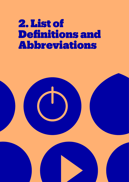# 2. List of Definitions and Abbreviations

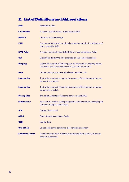# 2. List of Definitions and Abbreviations

| <b>BBD</b>               | <b>Best Before Date.</b>                                                                                                        |
|--------------------------|---------------------------------------------------------------------------------------------------------------------------------|
| <b>CHEP Pallet</b>       | A type of pallet from the organization CHEP.                                                                                    |
| <b>DESADV</b>            | Dispatch Advice Message.                                                                                                        |
| <b>EAN</b>               | European Article Number; global unique barcode for identification of<br>Items, issued by GS1.                                   |
| <b>EPAL Pallet</b>       | A type of pallet with size 800x1200mm, also called Euro Pallet.                                                                 |
| GS1                      | Global Standards One. The organization that issues barcodes.                                                                    |
| <b>Hangtag</b>           | Label with barcode which hangs on an Item such as clothing, fabric<br>or textile and which must have the barcode printed on it. |
| <b>Item</b>              | Unit as sold to customers, also known as Sales Unit.                                                                            |
| <b>Load carrier</b>      | That which carries the load; in the context of this document this can<br>be a carton or pallet.                                 |
| <b>Load carrier</b>      | That which carries the load; in the context of this document this can<br>be a parcel or pallet.                                 |
| <b>Mono pallet</b>       | The pallet consists of the same Items, so one bSKU.                                                                             |
| <b>Outer carton</b>      | Extra carton used to package separate, already existent packaging(s)<br>of one or multiple Units of Sale.                       |
| <b>SCP</b>               | <b>Supply Chain Portal.</b>                                                                                                     |
| <b>SSCC</b>              | Serial Shipping Container Code.                                                                                                 |
| <b>UBD</b>               | Use By Date.                                                                                                                    |
| <b>Unit of Sale</b>      | Unit as sold to the consumer, also referred to as Item.                                                                         |
| <b>Fulfilment Center</b> | Location where Units of Sale are stored and from where it is sent to<br>bol.com customers.                                      |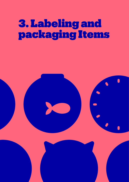# 3. Labeling and packaging Items

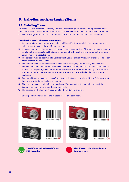# 3. Labeling and packaging Items

### 3.1 Labeling Items

Bol.com uses Item barcodes to identify and track Items through its entire handling process. Each Item sent to a bol.com Fulfilment Center must be provided with an EAN barcode which corresponds to the EAN as registered in the bol.com database. The barcode must meet the GS1 standards.

#### **The following needs to be taken into account:**

- **1.** In case two Items are not completely identical (they differ for example in size, measurements or color), these Items must have different barcodes.
- **2.** A maximum of one visible barcode is allowed on each separate Item. All other barcodes (except for serial number barcodes) must be taped off completely with blank stickers. Covering the barcode using a marker is not sufficient.
- **3.** The barcode must be freely visible. Stickers/plastic/straps that obstruct view of the barcode or part of the barcode are not allowed.
- **4**. The barcode must be attached to the outside of the packaging, in such a way that it will not become unfastened under normal circumstances. Furthermore, the barcode must be attached to a section of the packaging so that its placement does not interfere with scanning of the barcode. For Items with a 'this side up' sticker, the barcode must not be attached to the bottom of the packaging.
- **5.** Remove all EANs from Outer cartons (except when the Outer carton is the Unit of Sale) to prevent incorrect registration of the Item concerned.
- **6.** The barcode must be legible for a human being. This means that the numerical value of the barcode must be printed under the barcode itself.
- **7.** The barcode on the Item must exactly match the EAN in the pre-alert.

Technical specifications can be found in appendix 1 to this document.



















**The different colors have different EAN barcodes.**



**The different colors have identical EAN barcodes.**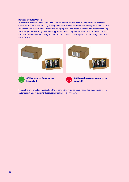#### **Barcode on Outer Carton**

In case multiple Items are delivered in an Outer carton it is not permitted to have EAN barcodes visible on the Outer carton. Only the separate Units of Sale inside the carton may have an EAN. This is necessary to prevent the Outer carton being registered as a Unit of Sale and to prevent scanning the wrong barcode during the receiving process. All existing barcodes on the Outer carton must be removed or covered up by using opaque tape or a sticker. Covering the barcode using a marker is not sufficient.



In case the Unit of Sale consists of an Outer carton this must be clearly stated on the outside of the Outer carton. See requirements regarding "selling as a set" below.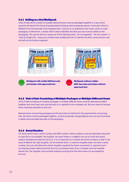#### 3.1.1 Selling as a Set/Multipack

Units of Sale which consist of multiple identical Items must be packaged together in a way which prevents the Items from becoming separated and being sold as separate pieces. A barcode, which is different from the barcode of the separate Item, must be on or attached to the Outer carton or outer packaging. Furthermore, a sticker which clearly identifies the Item as a set must be visible on the packaging. This can be done by using one of the following texts: "Do not separate", "Do not unpack" or "Sold as Single Unit". Using one of these texts enables bol.com to identify the Item concerned as a set and will not be further unpacked.



#### 3.1.2 Unit of Sale Consisting of Multiple Packages or Multiple Different Items

Units of Sale consisting of multiple packages or multiple different Items must be delivered bundled together and must have only one barcode on or applied to the complete unit. Bol.com does not accept Items requiring assembly by bol.com.

Requirements concerning packaging and the barcode are identical to the requirements concerning sets: the Items must be packaged together, must be physically recognizable as one unit and must have a visible and scannable barcode on the packaging.

#### 3.1.3 Serial Number

For Items which have a serial number and IMEI-number, these numbers must be submitted using EDI. In case this is not possible, the Supplier can send these to rma@bol.com as an Excel document, using a template provided by bol.com. It is of importance to receive the serial numbers so that in the case of defects the right Supplier can be tracked down. In case the Supplier does not send a serial number, bol.com will determine which Supplier supplied the Items concerned. In case bol.com's purchasing system determines that bol.com purchased Items from a Supplier and the Supplier denies this, the Supplier must provide evidence proving that the Items were not purchased by bol.com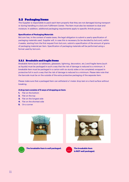#### 3.2 Packaging Items

The Supplier is responsible to pack each Item properly that they are not damaged during transport or during handling in a bol.com Fulfilment Center. The Item must also be resistant to dust and moisture. In addition, additional packaging requirements apply to specific Article groups.

#### **Specification of Packaging Materials**

Bol.com has, in the context of waste taxes, the legal obligation to submit a yearly specification of packaging materials used. Supplier will, in case this is necessary (to be decided by bol.com), within 4 weeks, starting from the first request from bol.com, submit a specification of the amount of grams of packaging material per Item. Specification of packaging materials will be performed using a format used by bol.com.

#### 3.2.1 Breakable and fragile Items

Breakable Items (such as tableware, glassware, lightning, decoration, etc.) and fragile Items (such as liquids) must be packaged in such a way that the risk of damage is reduced to a minimum. A breakable Item must be packaged in a carton with six sturdy sides or be completely wrapped in protective foil in such a way that the risk of damage is reduced to a minimum. Please take note that the barcode must be on the outside of the extra protective packaging of the separate Item.

Please make sure that a packaged Item can withstand a 1-meter drop test on a hard surface without breaking.

#### **A drop test consists of 5 ways of dropping an item:**

- **1.** Flat on the bottom
- **2.** Flat on the top
- **3.** Flat on the longest side
- **4.** Flat on the shortest side
- **5.** On a corner







**The breakable Item is well packaged. The breakable Item**



**is NOT well packaged.**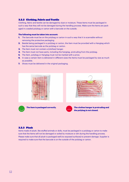#### 3.2.2 Clothing, Fabric and Textile

Clothing, fabric and textile can be damaged by dust or moisture. These Items must be packaged in such a way that they will not be damaged during the handling process. Make sure the Items are packaged in a sealed polybag or carton with a barcode on the outside.

#### **The following must be taken into account:**

- **1.** The barcode must be on the polybag or carton in such a way that it is scannable without removing the protective packaging.
- **2.** Beside being packaged in a polybag or carton, the Item must be provided with a Hangtag which has the same barcode as the polybag or carton.
- **3.** The Item must not contain a (clothes) hanger.
- **4.** The Item must not have parts, including the hangtag, protruding from the polybag.
- **5.** The Item, polybag or Hangtag must not be marked with a price.
- **6.** In case a certain Item is delivered in different sizes the Items must be packaged by size as much as possible.
- **7.** Shoes must be delivered in the original packaging.



#### 3.2.3 Plush

Items made of plush, like stuffed animals or dolls, must be packaged in a polybag or carton to make sure that the Items will not be damaged or soiled by moisture or dirt during the handling process. Please make sure that all plush is packaged well (no exposed surfaces) to prevent damage. Supplier is required to make sure that the barcode is on the outside of the polybag or carton.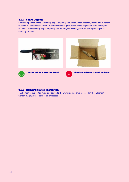#### 3.2.4 Sharp Objects

Sharp and pointed Items have sharp edges or pointy tips which, when exposed, form a safety hazard to bol.com's employees and the Customers receiving the Items. Sharp objects must be packaged in such a way that sharp edges or pointy tips do not (and will not) protrude during the logistical handling process.



#### 3.2.5 Items Packaged in a Carton

The bottom of the carton must be flat due to the way products are processed in the Fulfilment Center. Bulging boxes cannot be processed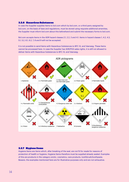#### 3.2.6 Hazardous Substances

In case the Supplier supplies Items to bol.com which by bol.com, or a third party assigned by bol.com, on the basis of laws and regulations, must be stored using requisite additional amenities, the Supplier must inform bol.com about this beforehand and submit the necessary forms to bol.com.

Bol.com accepts Items in the ADR hazard classes 2.1, 2.2, 3 and 4.1. Items in hazard classes 1, 4.2, 4.3, 5.1, 5.2, 6.1, 6.2, 7, 8 and 9 will not be accepted.

It is not possible to send Items with Hazardous Substances to BFC XL and Veerweg. These Items cannot be processed here. In case the Supplier has ADR/PGS sales rights, it is still not allowed to deliver Items with Hazardous Substances to BFC XL and Veerweg.



#### 3.2.7 Hygiene Items

Hygiene Items are Items which, after breaking of the seal, are not fit for resale for reasons of protection of health or hygiene. Hygiene Items therefore must be supplied already sealed. Examples of this are products in the category erotic, cosmetics, care products, toothbrush/toothpaste. Beware, the examples mentioned here are for illustrative purposes only and are not exhaustive.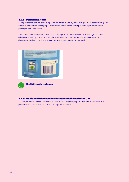#### 3.2.8 Perishable Items

Each perishable Item must be supplied with a visible 'use by date' (UBD) or 'best before date' (BBD) on the outside of the packaging. Furthermore, only one UBD/BBD per Item is permitted to be packaged per Load carrier.

Items must have a minimum shelf life of 270 days at the time of delivery, unless agreed upon otherwise in writing. Items of which the shelf life is less than a 100 days will be marked for destruction by bol.com. Stock subject to destruction cannot be returned.





**The BBD is on the packaging.**

#### 3.2.9 Additional requirements for Items delivered to BFCXL

It is not permitted to have plastic on the carton used as packaging for the Items. In case this is not possible the barcode must be applied on top of the plastic.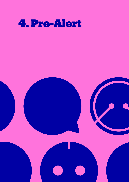

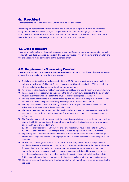### 4. Pre-Alert

All shipments to a bol.com Fulfilment Center must be pre-announced.

Depending on agreements between bol.com and the Supplier, the pre-alert must be performed using the Supply Chain Portal (SCP) or using an Electronic Data Interchange (EDI) connection with bol.com. In the SCP this is referred to as a shipment. In case an EDI connection is used this is referred to as a DESADV- message, which will be translated to a shipment.

#### 4.1 Date of Delivery

The delivery date stated on the purchase order is leading. Delivery dates are determined in mutual consultation and are managed by bol.com. The Supplier must deliver on the date of the pre-alert and the pre-alert date must correspond to the purchase order.

#### 4.2 Requirements Concerning Pre-alert

Pre-alert of shipments must meet the requirements below. Failure to comply with these requirements can result in a refusal to accept the entire shipment.

- **1.** Digital pre-alert must be, at the latest, submitted at 20:00 hours at least one day prior to physical delivery at the bol.com Fulfilment Center. In case pre-alert is performed using EDI it is possible to, after consultation and approval, deviate from this requirement.
- **2.** Any change in the digital pre-notification must be sent at least one hour before the physical delivery.
- **3.** In case the purchase order will be shipped on the day at which it was ordered, the digital pre-alert must be submitted two hours before the physical delivery takes place at the latest.
- **4.** The requested delivery date in the order is leading. The delivery date in the pre-alert must exactly match the date at which physical delivery will take place at the Fulfilment Center.
- **5.** The requested delivery location is leading. The location in the pre-alert must exactly match the Fulfilment Center at which the delivery will take place.
- **6.** The Items, the quantities per Item and the EAN barcodes registered in the pre-alert must exactly match the contents of the physical shipment. Furthermore, the correct purchase order must be referred to.
- **7.** The Supplier must specify in the pre-alert the quantities supplied per Load carrier on Item level, by stating the SSCC-number (Serial Shipping Container Code) of the Load carrier. More information about the SSCC is provided in 5.2.1.
	- **a.** In case the Supplier uses DESADV for pre-alert, Supplier will have to generate the SSCC's.
	- **b.** In case the Supplier uses SCP for pre-alert, SCP can help generate the SSCC-numbers.
- **8.** Registering SSCC-numbers for the Load carriers in the shipment in the pre-alert is mandatory; otherwise it is impossible for bol.com to judge whether the Load carriers delivered are part of the shipment.
- **9.** Supplier must only register the SSCC-numbers of the primary Load carriers in the pre-alert, and not those of secondary and tertiary Load carriers. The primary load carrier is the main load carrier, for example a pallet. Secondary and tertiary load carriers are packaging on the primary load carrier, for example cartons on a pallet. In case the shipment is delivered in separate packages, then these packages are the primary load carriers. In case the shipment is delivered on pallets (with separate Items or Items in cartons on it), then those pallets are the primary load carriers.
- **10.** The carrier which will be delivering the shipment to the Fulfilment Center must be registered in the pre-alert.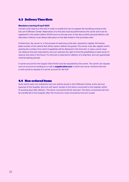### 4.3 Delivery Time Slots

#### **Mandatory starting 01 april 2021**

Carriers must reserve a time slot in order to enable bol.com to prepare the handling process at the bol.com Fulfilment Center. Reservation of a time slot must be performed by the carrier and must be registered in the system before 20.00 hours on the day prior to the day at which physical delivery will take place. Delivery must always take place on the date stated in the purchase order.

Furthermore, the carrier is, in the process of reserving a time slot, required to register the license plate number of the vehicle that will be used to deliver the goods. The carrier must also register which packing list numbers from which Supplier(s) will be delivered in the time slot. In case a carrier does not observe time slot reservations, bol.com reserves the right to limit the possibilities of said carrier to reserve time slots in the future. If a time slot is reserved for delivery of a shipment, bol.com guarantees minimal waiting periods.

A carrier account for the Supply Chain Portal must be requested by the carrier. The carrier can request such an account by sending an e-mail to **supplier@bol.com** in which the carrier mentions that the e-mail concerns request of a carrier account for the SCP.

#### 4.4 Non-ordered Items

Items which were not ordered by bol.com will be stored in the Fulfilment Center at the risk and expense of the Supplier. Bol.com will report receipt of the Items concerned to the Supplier within 15 working days after delivery. The Items concerned will be returned. The Items concerned will only be transferred to the Supplier after the invoice for costs incurred by bol.com is paid.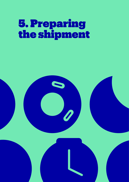# 5. Preparing the shipment

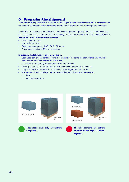### 5. Preparing the shipment

The Supplier is responsible that the Items are packaged in such a way that they arrive undamaged at the bol.com Fulfilment Center. Packaging material must reduce the risk of damage to a minimum.

The Supplier must ship its Items by loose-loaded carton (parcel) or pallet(box). Loose loaded cartons are only allowed if the weight of the carton is <15kg and the measurements are < 800 x 800 x 800 mm.

#### **A shipment must be delivered on a pallet if:**

- Carton weight > 15kg
- Item weight > 15kg
- Carton measurements > 800 x 800 x 800 mm
- A shipment consists of 10 or more cartons

#### **In addition, the following requirements apply:**

- Each Load carrier only contains Items that are part of the same pre-alert. Combining multiple pre-alerts on one Load carrier is not allowed.
- A Load carrier must only contain Items from one Supplier
- Delivery of cartons from multiple Suppliers on one Load carrier is not allowed
- Only one UBD/BBD per Item is permitted to be packaged per Load carrier
- The Items of the physical shipment must exactly match the data in the pre-alert.
	- EAN
	- Quantities per Item



**together.**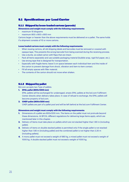### 5.1 Specifications per Load Carrier

#### 5.1.1 Shipped by loose-loaded cartons (parcels)

#### **Dimensions and weight must comply with the following requirements:**

- maximum 15 kilograms
- maximum 800 x 800 x 800 mm

Cartons larger or heavier than the above requirements must be delivered on a pallet. The same holds if a shipment consists of 10 or more cartons.

#### **Loose loaded cartons must comply with the following requirements:**

- When reusing cartons, all old shipping labels and barcodes must be removed or covered with opaque tape. This prevents the wrong barcode from being scanned during the receiving process.
- Use a sturdy, six-sided carton with flaps that are intact.
- Pack all Items separately and use suitable packaging material (bubble wrap, rigid foil paper, etc.).
- Use strong tape that is designed for transportation.
- Especially with fragile Items: leave 5 cm space between each individual Item and the inside of the carton to prevent damage from shock, vibration and item-to-item contact.
- Fill all empty spaces with filler material.
- The contents of the carton should not move when shaken.

#### 5.1.2 Shipped by pallet

Bol.com accepts two Type of pallets:

**1. EPAL pallet (800x1200 mm)** 

EPAL pallets will be exchanged for undamaged, empty EPAL pallets at the bol.com Fulfilment Center directly when delivery takes place. In case of refusal to exchange, the EPAL pallets will become property of bol.com.

#### **2. CHEP pallet (800x1200 mm)**

CHEP pallets are part of a pallet pool and will be left behind at the bol.com Fulfilment Center.

#### **Dimensions and weight must comply with the following requirements:**

- **1.** Dimensions of a pallet are 800x1200 mm. The Items on the pallet must not protrude beyond these dimensions. At BFCXL different regulations for delivering large Items apply, which are mentioned later in this chapter.
- **2.** Delivery of Items must take place on pallets which are not stacked higher than 1.80 m (including pallet).
- **3.** Delivery of items on double stacked pallets is permitted only if the single pallet is not stacked higher than 1.80 m (including pallet) and the combined pallet is not higher than 2.20 m (including pallets).
- **4.** A mono pallet must not exceed a weight of 680 kg, a mixed pallet must not exceed a weight of 1000 kg. A double stacked pallet must not exceed a weight of 1000 kg.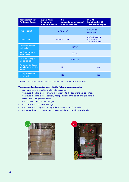| <b>Requirement per</b><br><b>Fulfilment Center</b>     | <b>Ingram Micro</b><br><b>Veerweg 16</b><br>5145 NS Waalwijk | <b>BFC</b><br><b>Mechie Trommelenweg 1</b><br>5145 ND Waalwijk | <b>BFC XL</b><br><b>Inundatiedok 34</b><br>3439 JJ Nieuwegein |
|--------------------------------------------------------|--------------------------------------------------------------|----------------------------------------------------------------|---------------------------------------------------------------|
| Type of pallet                                         | <b>EPAL CHEP</b>                                             |                                                                | <b>EPAL CHEP</b><br>Similar quality*                          |
| <b>Dimensions</b>                                      | 800x1200 mm                                                  |                                                                | 800x1200 mm<br>with a max, of<br>1200x1600 mm                 |
| Maximum height<br>incl. pallet                         | $1,80$ m                                                     |                                                                |                                                               |
| Maximum weight<br>mono pallet                          | 680 kg                                                       |                                                                |                                                               |
| Maximum weight<br>mixed pallet                         | 1000 kg                                                      |                                                                |                                                               |
| Permitted to deliver<br>Item larger than the<br>pallet |                                                              | <b>Yes</b>                                                     |                                                               |
| Clamp truck Item<br>permitted                          |                                                              | Yes                                                            |                                                               |

\* The quality of the deviating pallet must meet the quality requirements of an EPAL/CHEP pallet.

#### **The packaged pallet must comply with the following requirements:**

- Use transparent plastic foil (preferred packaging)
- Make sure the plastic foil is around all boxes up to the top of the boxes on top.
- Make sure the plastic foil is partially wrapped around the pallet. This prevents the boxes from sliding off the pallet.
- The plastic foil must be undamaged.
- The boxes must be stacked straight.
- The boxes must not protrude beyond the dimensions of the pallet.
- Make sure there is no transparent tape or foil placed over shipment labels.



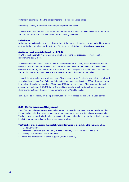Preferably, it is indicated on the pallet whether it is a Mono or Mixed pallet.

Preferably, as many of the same EANs are put together on a pallet.

In case a Mono pallet contains Items without an outer carton, stack the pallet in such a manner that the barcode of the Items are visible without de-stacking the Items.

#### **Pallet boxes**

Delivery of Items in pallet boxes is only permitted if the Items in the pallet box are packed in separate cartons. Delivery of a load carrier with one EAN (a mono pallet) in a pallet box is **not permitted**.

#### **Additional requirements Pallet delivery BFC XL**

BFCXL is the bol.com Fulfilment Center at which large Items are processed, several specific requirements apply there.

In case an individual Item is wider than Euro Pallet size (800x1200 mm), these dimensions may be deviated from and a different pallet size is permitted. The maximum dimensions of a pallet which deviates from the regular dimensions are 1200x1600 mm. The quality of a pallet which deviates from the regular dimensions must meet the quality requirements of an EPAL/CHEP pallet.

In case it is not possible to stack Items in an efficient manner on a Euro Pallet size pallet, it is allowed to deviate from using a Euro Pallet. Inefficient stacking means that less than 80% of the wide and/or long side of the pallet (respectively 800 mm and 1200 mm) can be used. The maximum dimensions allowed for a pallet are 1200x1600 mm. The quality of a pallet which deviates from the regular dimensions must meet the quality requirements of an EPAL/CHEP pallet.

Items suited to processing by clamp truck must be delivered loose-loaded without Load carrier.

#### 5.2 Reference on Shipment

Items from multiple purchase orders can be merged into one shipment with one packing list number. Each parcel or pallet(box) must be provided with a reference in the form of a bol.com shipment label. The label must be clearly visible, which means that it must not be placed under the packaging material, inside the carton or overlaid by the carrier's shipping label.

#### **The Supplier must make sure that the following information is included on the shipment label:**

- Full delivery address
- Property designation (site 1 or site 2) in case of delivery at BFC in Waalwijk (see 6.5.1).
- Packing list number as used in pre-alert
- Name and address details of the Supplier (return to sender)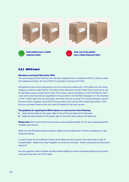

#### 5.2.1 SSCC Label

#### **Mandatory starting 31 December 2021**

The upcoming period of time bol.com will give Suppliers time to implement SSCC in their pre-alert and logistical process. The use of SSCC is mandatory starting 31-12-2021.

All logistical Load carriers delivered to bol.com must be provided with 2 GS1-labels with the 'serial shipping container code' (SSCC). This label is also referred to as SSCC label. Each Load carrier will be identified using a unique SSCC-code. This unique code is mandatory on the GS1-label for each Load carrier and must also be registered in the pre-alert in the DESADV-message or in the shipment in SCP. A SSCC label may be used again, but there must be a period of 12 months between uses of the same label. Suppliers using SCP for the pre-alert must use the SSCC labels generated in SCP. bol.com considers these as the only valid GS1-labels for the load carriers.

#### **The guideline for applying the SSCC-labels on a Load carrier is the following:**

- **1.** Apply the first label on the upper right of one of the long sides of the shipment.
- **2.** Apply the second label on the upper right of one of the short sides of the shipment.

**Please note:** Each Load carrier must have two unique shipping labels. Do not use a shipping label for multiple Load carriers.

Make sure that the label is always properly visible and scannable (even if there is wrapping or a seal around the Items).

It must be clear for the Fulfilment Center which label must be scanned. This means that in case of multiple labels – labels from other Suppliers or carriers for example – these must always be removed or taped off.

bol.com regards a stack of pallets (double stacked pallet) as a stack of separate Shipping units which must each have their own SSCC-label.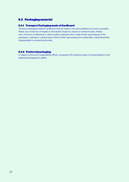### 5.3 Packaging material

#### 5.3.1 Transport Packaging made of Cardboard

Transport packaging made of cardboard must be made of recycled cardboard as much as possible. Please use a minimum of staples or hard plastic straps for closure of carboard boxes. Please use a minimum of adhesives or other auxiliary materials which might hinder reprocessing of the packaging. Coatings or material layers which hinder reprocessing are undesirable, unless absolutely indispensable for protecting the Item.

#### 5.3.2 Preferred packaging

In respect to bol.com's sustainability efforts, transparent film (sealing made of recycled plastic) is the preferred packaging for pallets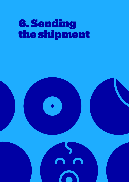# 6. Sending the shipment

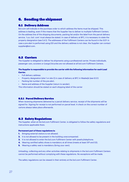## 6. Sending the shipment

#### 6.1 Delivery Address

Bol.com will indicate in the purchase order to which address the Items must be shipped. This address is leading, even if this means that the Supplier has to deliver to multiple Fulfilment Centers. On the address line of the shipping documents, packing list and/or the label from the parcel delivery service, 't.a.v. bol. com' must always be stated. In case of delivery at BFC, it is necessary to state the property designation (see 5.4.1). The addresses of the Fulfilment Centers can be found in the SCP. In case a pre-alert is performed using EDI and the delivery address is not clear, the Supplier can contact supplier@bol.com.

#### 6.2 Carriers

The Supplier is obligated to deliver his shipments using a professional carrier. Private individuals, passenger cars, scooters or (cargo) bicycles are not allowed at all bol.com Fulfilment Centers.

#### **The Supplier is responsible to provide the carrier with the following information for each Load Carrier.**

- Full delivery address
- Property designation (site 1 or site 2) in case of delivery at BFC in Waalwijk (see 6.5.1)
- Packing list number of the pre-alert.
- Name and address of the Supplier (return to sender).

This information should be stated on each shipping label of the carrier

#### 6.2.1 Parcel Delivery Service

When receiving shipments delivered by a parcel delivery service, receipt of the shipments will be signed for. Signing for receipt is not performed on parcel level. A check on the correct number of cartons always takes place afterwards.

#### 6.3 Safety Regulations

The Supplier, when at the bol.com Fulfilment Center, is obligated to follow the safety regulations and instructions applicable there.

#### **Permanent part of these regulations is:**

- **1.** Bringing external visitors is not allowed.
- **2.** It is not allowed to be present in the building unaccompanied.
- **3.** It is not allowed to enter the bol.com Fulfilment Center with jewelry/telephone.
- **4.** Wearing certified safety shoes is mandatory at all times (meets at least S1P and S3).
- **5.** Wearing a safety vest is mandatory (bring your own).

Unloading, collecting and any other activities relating to shipments in the bol.com Fulfilment Centers cannot be performed without complying with these regulations. No exceptions will be made.

The safety regulations can be viewed in their entirety at the bol.com Fulfilment Center.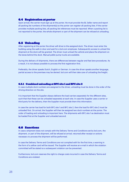#### 6.4 Registration at porter

Upon arrival, the carrier must sign up at the porter. He must provide the BL Seller name and report all packing list numbers of the shipment(s) so the porter can register all packing lists. If the carrier provides multiple packing lists, all packing list references must be reported. When a packing list is not reported to the porter, the whole shipment or part of the shipment can be refused at unloading.

#### 6.5 Unloading

After registering at the porter the driver will drive to the assigned dock. The driver must enter the building using the walk-in door and wait for a bol.com employee. Subsequently access to unload the shipment at the dock will be granted. The driver must unload the vehicle and place the shipment on the lanes behind the dock. Manual pallet pump trucks are available.

During the delivery of shipments, there are differences between regular and fast lane procedures. As a result, it is not always possible to process the first registration first.

Preferably, the driver speaks Dutch, English or German. In case the driver speaks another language, partial access to the premises may be denied. bol.com will then take care of unloading the freight.

#### 6.5.1 Combined unloading at BFC site 1 and BFC site 2

In case multiple dock numbers are assigned to the driver, unloading must be done in the order of the driving direction on the site.

It is important that the Supplier always delivers the load carriers separately for the different sites, such that that these can be unloaded separately at each site. In case the Supplier uses a carrier or third party for the delivery, then the Supplier must provide them this information.

In case the carrier has load for both BFC site 1 and BFC site 2, then the load for BFC site 2 must be unloaded first. On arrival, the Supplier will then be assigned two dock numbers at the porter. The order of loading and unloading is important here. The shipments with BFC site 1 as destination must be loaded first at the Supplier and unloaded second.

#### 6.6 Sanctions

In case a shipment does not comply with the Delivery Terms and Conditions set by bol.com, the shipment, or part of the shipment, will be refused at arrival, returned after receipt or actions necessary to process the shipment will be performed.

In case the Delivery Terms and Conditions are not complied with for the first time, a warning in the form of a yellow card will be issued. The Supplier will receive an e-mail in which the violation committed will be stated so a subsequent violation can be prevented.

Furthermore, bol.com reserves the right to charge costs incurred in case the Delivery Terms and Conditions are violated.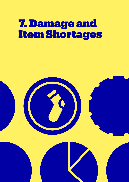# 7. Damage and Item Shortages

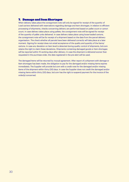#### 7. Damage and Item Shortages

When delivery takes place the consignment note will only be signed for receipt of the quantity of Load carriers delivered with reservations regarding damage and Item shortages. In relation to efficient processing of shipments, checks concerning delivery are performed based on pallet count or carton count. In case delivery takes place using pallets, the consignment note will be signed for receipt of the quantity of pallet units delivered. In case delivery takes place using loose-loaded cartons, the consignment note will be for receipt of a shipment based on the data from the parcel delivery organisation. The check whether all parcels have been delivered correctly will take place at a later moment. Signing for receipt does not entail acceptance of the quality and quantity of the Items/ cartons. In case any deviation on Item level is detected during quality control of shipments, bol.com retains the right to claim these deviations. Shipments containing damaged goods or Item shortages will be reported within 15 working days after delivery. In case the shipment is delivered sooner than requested in the purchase order, the date registered in the pre-alert will be used.

The damaged Items will be returned by mutual agreement. After report of a shipment with damage or Item shortages has been made, the obligation to pay for the damaged and/or missing Items expires immediately. The Supplier will provide bol.com with a credit note for the damaged and/or missing Items of the shipment within thirty (30) days. In case the Supplier does not credit the damaged and/or missing Items within thirty (30) days, bol.com has the right to suspend payment for the invoice of the order(s) concerned.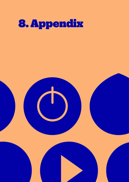

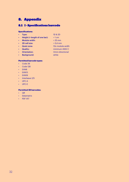# 8. Appendix

### 8.1 I - Specifications barcode

#### **Specifications:**

- Type: 1D & 2D
- Height (= length of one bar): > 1 cm
- Module width:  $> 25$  mm
- 
- $\cdot$  2D cell size:  $> 0.4$  mm
- 
- Quality: minimum ANSI C
- Quiet zone: 10x module width
	-
- Background: white
- Orientation: Omni-directional
- **Permitted barcode types:**
- Code 39
- Code 128
- EAN8
- EAN13
- EAN18
- Interleave 2/5
- UPC-A
- UPC-E

#### **Permitted 2D barcodes:**

- QR
- Datamatrix
- PDF 417